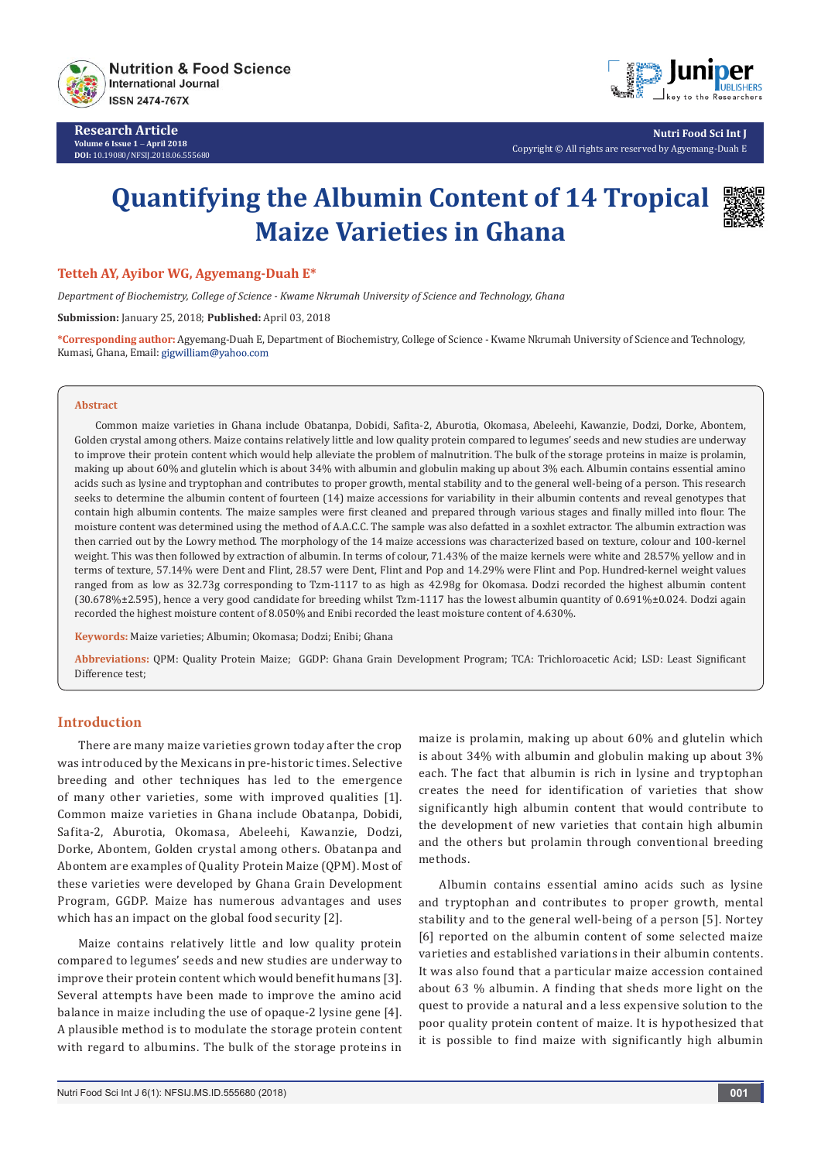

**Research Article Volume 6 Issue 1** - **April 2018 DOI:** [10.19080/NFSIJ.2018.06.555680](http://dx.doi.org/10.19080/NFSIJ.2018.06.555680)



**Nutri Food Sci Int J** Copyright © All rights are reserved by Agyemang-Duah E

# **Quantifying the Albumin Content of 14 Tropical Maize Varieties in Ghana**



## **Tetteh AY, Ayibor WG, Agyemang-Duah E\***

*Department of Biochemistry, College of Science - Kwame Nkrumah University of Science and Technology, Ghana*

**Submission:** January 25, 2018; **Published:** April 03, 2018

**\*Corresponding author:** Agyemang-Duah E, Department of Biochemistry, College of Science - Kwame Nkrumah University of Science and Technology, Kumasi, Ghana, Email: gigwilliam@yahoo.com

#### **Abstract**

Common maize varieties in Ghana include Obatanpa, Dobidi, Safita-2, Aburotia, Okomasa, Abeleehi, Kawanzie, Dodzi, Dorke, Abontem, Golden crystal among others. Maize contains relatively little and low quality protein compared to legumes' seeds and new studies are underway to improve their protein content which would help alleviate the problem of malnutrition. The bulk of the storage proteins in maize is prolamin, making up about 60% and glutelin which is about 34% with albumin and globulin making up about 3% each. Albumin contains essential amino acids such as lysine and tryptophan and contributes to proper growth, mental stability and to the general well-being of a person. This research seeks to determine the albumin content of fourteen (14) maize accessions for variability in their albumin contents and reveal genotypes that contain high albumin contents. The maize samples were first cleaned and prepared through various stages and finally milled into flour. The moisture content was determined using the method of A.A.C.C. The sample was also defatted in a soxhlet extractor. The albumin extraction was then carried out by the Lowry method. The morphology of the 14 maize accessions was characterized based on texture, colour and 100-kernel weight. This was then followed by extraction of albumin. In terms of colour, 71.43% of the maize kernels were white and 28.57% yellow and in terms of texture, 57.14% were Dent and Flint, 28.57 were Dent, Flint and Pop and 14.29% were Flint and Pop. Hundred-kernel weight values ranged from as low as 32.73g corresponding to Tzm-1117 to as high as 42.98g for Okomasa. Dodzi recorded the highest albumin content (30.678%±2.595), hence a very good candidate for breeding whilst Tzm-1117 has the lowest albumin quantity of 0.691%±0.024. Dodzi again recorded the highest moisture content of 8.050% and Enibi recorded the least moisture content of 4.630%.

**Keywords:** Maize varieties; Albumin; Okomasa; Dodzi; Enibi; Ghana

**Abbreviations:** QPM: Quality Protein Maize; GGDP: Ghana Grain Development Program; TCA: Trichloroacetic Acid; LSD: Least Significant Difference test;

## **Introduction**

There are many maize varieties grown today after the crop was introduced by the Mexicans in pre-historic times. Selective breeding and other techniques has led to the emergence of many other varieties, some with improved qualities [1]. Common maize varieties in Ghana include Obatanpa, Dobidi, Safita-2, Aburotia, Okomasa, Abeleehi, Kawanzie, Dodzi, Dorke, Abontem, Golden crystal among others. Obatanpa and Abontem are examples of Quality Protein Maize (QPM). Most of these varieties were developed by Ghana Grain Development Program, GGDP. Maize has numerous advantages and uses which has an impact on the global food security [2].

Maize contains relatively little and low quality protein compared to legumes' seeds and new studies are underway to improve their protein content which would benefit humans [3]. Several attempts have been made to improve the amino acid balance in maize including the use of opaque-2 lysine gene [4]. A plausible method is to modulate the storage protein content with regard to albumins. The bulk of the storage proteins in

maize is prolamin, making up about 60% and glutelin which is about 34% with albumin and globulin making up about 3% each. The fact that albumin is rich in lysine and tryptophan creates the need for identification of varieties that show significantly high albumin content that would contribute to the development of new varieties that contain high albumin and the others but prolamin through conventional breeding methods.

Albumin contains essential amino acids such as lysine and tryptophan and contributes to proper growth, mental stability and to the general well-being of a person [5]. Nortey [6] reported on the albumin content of some selected maize varieties and established variations in their albumin contents. It was also found that a particular maize accession contained about 63 % albumin. A finding that sheds more light on the quest to provide a natural and a less expensive solution to the poor quality protein content of maize. It is hypothesized that it is possible to find maize with significantly high albumin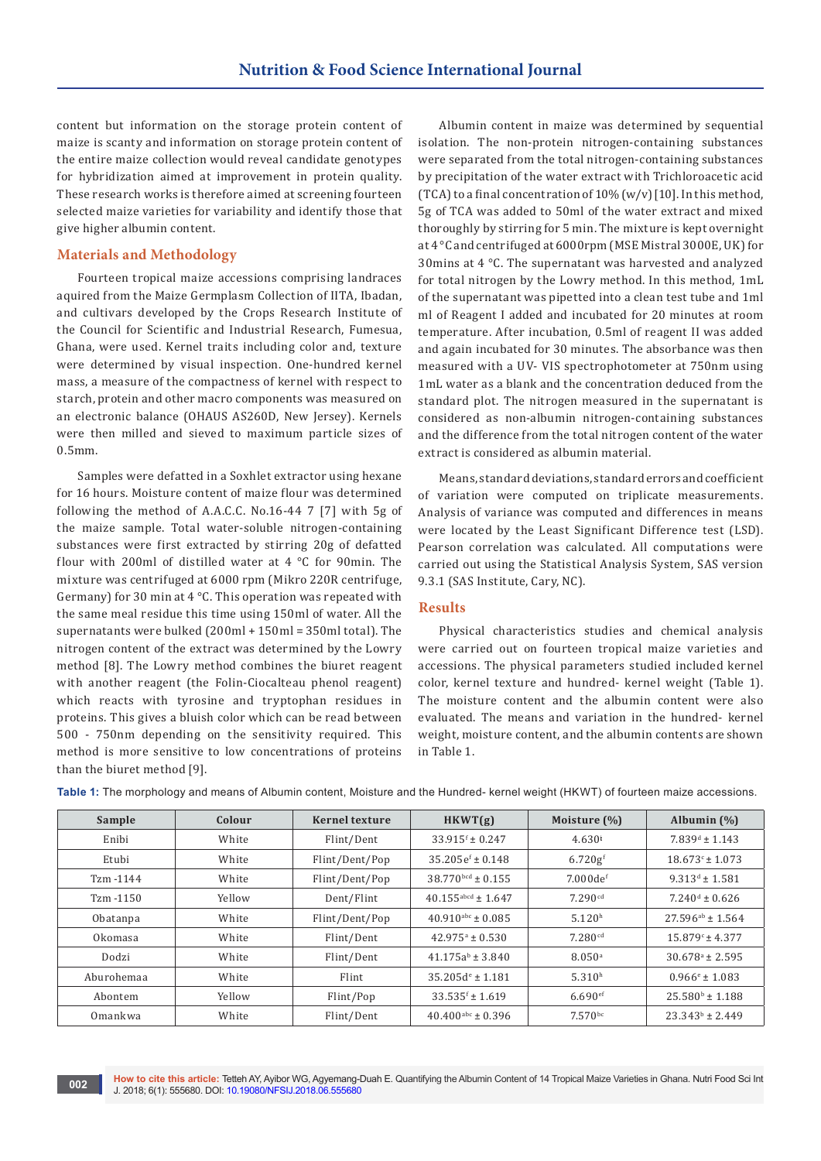content but information on the storage protein content of maize is scanty and information on storage protein content of the entire maize collection would reveal candidate genotypes for hybridization aimed at improvement in protein quality. These research works is therefore aimed at screening fourteen selected maize varieties for variability and identify those that give higher albumin content.

## **Materials and Methodology**

Fourteen tropical maize accessions comprising landraces aquired from the Maize Germplasm Collection of IITA, Ibadan, and cultivars developed by the Crops Research Institute of the Council for Scientific and Industrial Research, Fumesua, Ghana, were used. Kernel traits including color and, texture were determined by visual inspection. One-hundred kernel mass, a measure of the compactness of kernel with respect to starch, protein and other macro components was measured on an electronic balance (OHAUS AS260D, New Jersey). Kernels were then milled and sieved to maximum particle sizes of 0.5mm.

Samples were defatted in a Soxhlet extractor using hexane for 16 hours. Moisture content of maize flour was determined following the method of A.A.C.C. No.16-44 7 [7] with 5g of the maize sample. Total water-soluble nitrogen-containing substances were first extracted by stirring 20g of defatted flour with 200ml of distilled water at 4 °C for 90min. The mixture was centrifuged at 6000 rpm (Mikro 220R centrifuge, Germany) for 30 min at 4 °C. This operation was repeated with the same meal residue this time using 150ml of water. All the supernatants were bulked (200ml + 150ml = 350ml total). The nitrogen content of the extract was determined by the Lowry method [8]. The Lowry method combines the biuret reagent with another reagent (the Folin-Ciocalteau phenol reagent) which reacts with tyrosine and tryptophan residues in proteins. This gives a bluish color which can be read between 500 - 750nm depending on the sensitivity required. This method is more sensitive to low concentrations of proteins than the biuret method [9].

Albumin content in maize was determined by sequential isolation. The non-protein nitrogen-containing substances were separated from the total nitrogen-containing substances by precipitation of the water extract with Trichloroacetic acid (TCA) to a final concentration of  $10\%$  (w/v) [10]. In this method, 5g of TCA was added to 50ml of the water extract and mixed thoroughly by stirring for 5 min. The mixture is kept overnight at 4 °C and centrifuged at 6000rpm (MSE Mistral 3000E, UK) for 30mins at 4 °C. The supernatant was harvested and analyzed for total nitrogen by the Lowry method. In this method, 1mL of the supernatant was pipetted into a clean test tube and 1ml ml of Reagent I added and incubated for 20 minutes at room temperature. After incubation, 0.5ml of reagent II was added and again incubated for 30 minutes. The absorbance was then measured with a UV- VIS spectrophotometer at 750nm using 1mL water as a blank and the concentration deduced from the standard plot. The nitrogen measured in the supernatant is considered as non-albumin nitrogen-containing substances and the difference from the total nitrogen content of the water extract is considered as albumin material.

Means, standard deviations, standard errors and coefficient of variation were computed on triplicate measurements. Analysis of variance was computed and differences in means were located by the Least Significant Difference test (LSD). Pearson correlation was calculated. All computations were carried out using the Statistical Analysis System, SAS version 9.3.1 (SAS Institute, Cary, NC).

# **Results**

Physical characteristics studies and chemical analysis were carried out on fourteen tropical maize varieties and accessions. The physical parameters studied included kernel color, kernel texture and hundred- kernel weight (Table 1). The moisture content and the albumin content were also evaluated. The means and variation in the hundred- kernel weight, moisture content, and the albumin contents are shown in Table 1.

| Sample       | Colour | <b>Kernel texture</b> | HKWT(g)                          | Moisture (%)          | Albumin $(\%)$                |
|--------------|--------|-----------------------|----------------------------------|-----------------------|-------------------------------|
| Enibi        | White  | Flint/Dent            | $33.915$ <sup>f</sup> ± 0.247    | $4.630^{i}$           | $7.839d \pm 1.143$            |
| Etubi        | White  | Flint/Dent/Pop        | $35.205e^{f} \pm 0.148$          | $6.720g$ <sup>f</sup> | $18.673$ <sup>c</sup> ± 1.073 |
| Tzm -1144    | White  | Flint/Dent/Pop        | $38.770$ bcd ± 0.155             | $7.000$ def           | $9.313^{d} \pm 1.581$         |
| $Tzm - 1150$ | Yellow | Dent/Flint            | $40.155$ <sup>abcd</sup> ± 1.647 | 7.290 <sup>cd</sup>   | $7.240d \pm 0.626$            |
| Obatanpa     | White  | Flint/Dent/Pop        | $40.910$ <sup>abc</sup> ± 0.085  | 5.120 <sup>h</sup>    | $27.596^{ab} \pm 1.564$       |
| Okomasa      | White  | Flint/Dent            | $42.975^{\circ} \pm 0.530$       | 7.280 <sup>cd</sup>   | $15.879^{\circ}$ ± 4.377      |
| Dodzi        | White  | Flint/Dent            | $41.175a^{b} \pm 3.840$          | 8.050 <sup>a</sup>    | $30.678^{\circ} \pm 2.595$    |
| Aburohemaa   | White  | Flint                 | $35.205d^e \pm 1.181$            | 5.310 <sup>h</sup>    | $0.966$ <sup>e</sup> ± 1.083  |
| Abontem      | Yellow | Flint/Pop             | $33.535f \pm 1.619$              | $6.690$ <sup>ef</sup> | $25.580^{\circ} \pm 1.188$    |
| Omankwa      | White  | Flint/Dent            | $40.400$ <sup>abc</sup> ± 0.396  | $7.570^{bc}$          | $23.343^b \pm 2.449$          |

**Table 1:** The morphology and means of Albumin content, Moisture and the Hundred- kernel weight (HKWT) of fourteen maize accessions.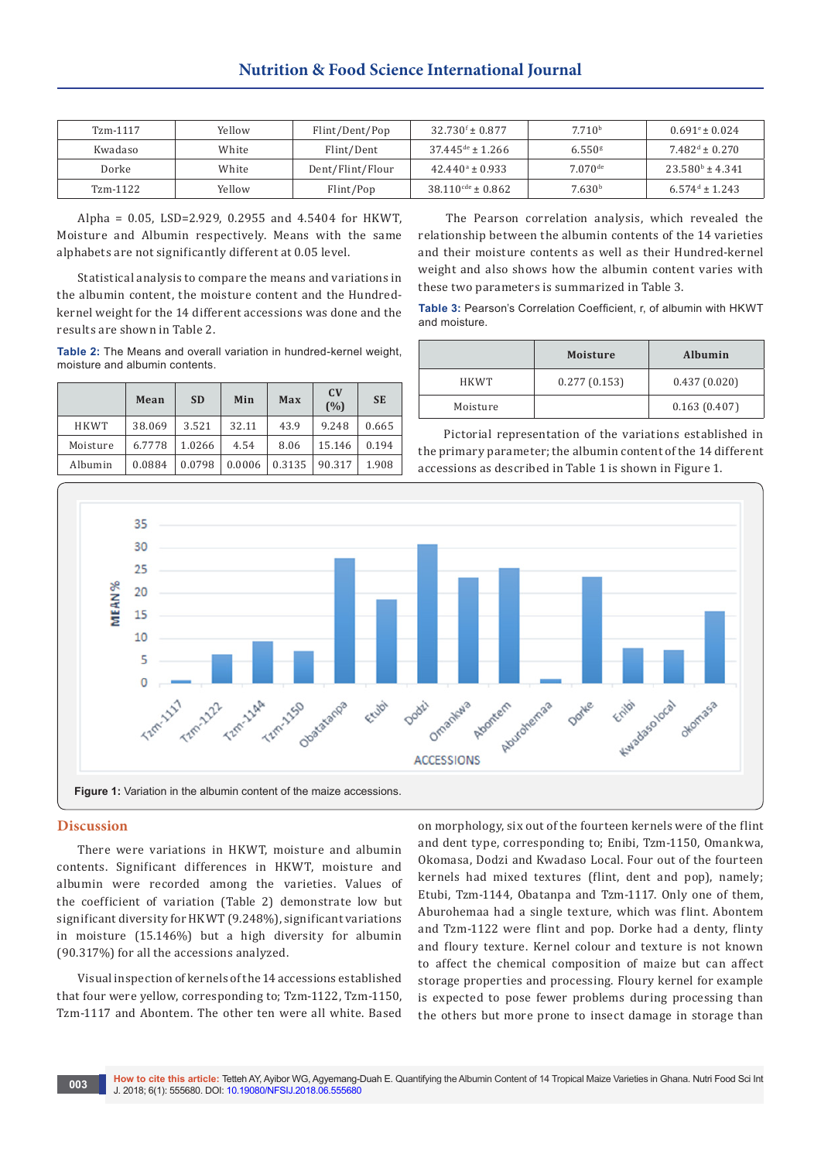| Tzm-1117 | Yellow | Flint/Dent/Pop   | $32.730^{\rm f} \pm 0.877$      | 7.710 <sup>b</sup>    | $0.691^{\circ} \pm 0.024$    |
|----------|--------|------------------|---------------------------------|-----------------------|------------------------------|
| Kwadaso  | White  | Flint/Dent       | $37.445$ <sup>de</sup> ± 1.266  | $6.550$ <sup>g</sup>  | $7.482^{\text{d}} \pm 0.270$ |
| Dorke    | White  | Dent/Flint/Flour | $42.440^{\circ} \pm 0.933$      | $7.070$ <sup>de</sup> | $23.580^b \pm 4.341$         |
| Tzm-1122 | Yellow | Flint/Pop        | $38.110$ <sup>cde</sup> ± 0.862 | 7.630 <sup>b</sup>    | $6.574^{\text{d}} \pm 1.243$ |

Alpha = 0.05, LSD=2.929, 0.2955 and 4.5404 for HKWT, Moisture and Albumin respectively. Means with the same alphabets are not significantly different at 0.05 level.

Statistical analysis to compare the means and variations in the albumin content, the moisture content and the Hundredkernel weight for the 14 different accessions was done and the results are shown in Table 2.

**Table 2:** The Means and overall variation in hundred-kernel weight, moisture and albumin contents.

|             | Mean   | <b>SD</b> | Min    | Max    | C <sub>V</sub><br>(%) | <b>SE</b> |
|-------------|--------|-----------|--------|--------|-----------------------|-----------|
| <b>HKWT</b> | 38.069 | 3.521     | 32.11  | 43.9   | 9.248                 | 0.665     |
| Moisture    | 6.7778 | 1.0266    | 4.54   | 8.06   | 15.146                | 0.194     |
| Albumin     | 0.0884 | 0.0798    | 0.0006 | 0.3135 | 90.317                | 1.908     |

 The Pearson correlation analysis, which revealed the relationship between the albumin contents of the 14 varieties and their moisture contents as well as their Hundred-kernel weight and also shows how the albumin content varies with these two parameters is summarized in Table 3.

**Table 3:** Pearson's Correlation Coefficient, r, of albumin with HKWT and moisture.

|          | <b>Moisture</b> | Albumin      |
|----------|-----------------|--------------|
| HKWT     | 0.277(0.153)    | 0.437(0.020) |
| Moisture |                 | 0.163(0.407) |

 Pictorial representation of the variations established in the primary parameter; the albumin content of the 14 different accessions as described in Table 1 is shown in Figure 1.



### **Discussion**

There were variations in HKWT, moisture and albumin contents. Significant differences in HKWT, moisture and albumin were recorded among the varieties. Values of the coefficient of variation (Table 2) demonstrate low but significant diversity for HKWT (9.248%), significant variations in moisture (15.146%) but a high diversity for albumin (90.317%) for all the accessions analyzed.

Visual inspection of kernels of the 14 accessions established that four were yellow, corresponding to; Tzm-1122, Tzm-1150, Tzm-1117 and Abontem. The other ten were all white. Based

on morphology, six out of the fourteen kernels were of the flint and dent type, corresponding to; Enibi, Tzm-1150, Omankwa, Okomasa, Dodzi and Kwadaso Local. Four out of the fourteen kernels had mixed textures (flint, dent and pop), namely; Etubi, Tzm-1144, Obatanpa and Tzm-1117. Only one of them, Aburohemaa had a single texture, which was flint. Abontem and Tzm-1122 were flint and pop. Dorke had a denty, flinty and floury texture. Kernel colour and texture is not known to affect the chemical composition of maize but can affect storage properties and processing. Floury kernel for example is expected to pose fewer problems during processing than the others but more prone to insect damage in storage than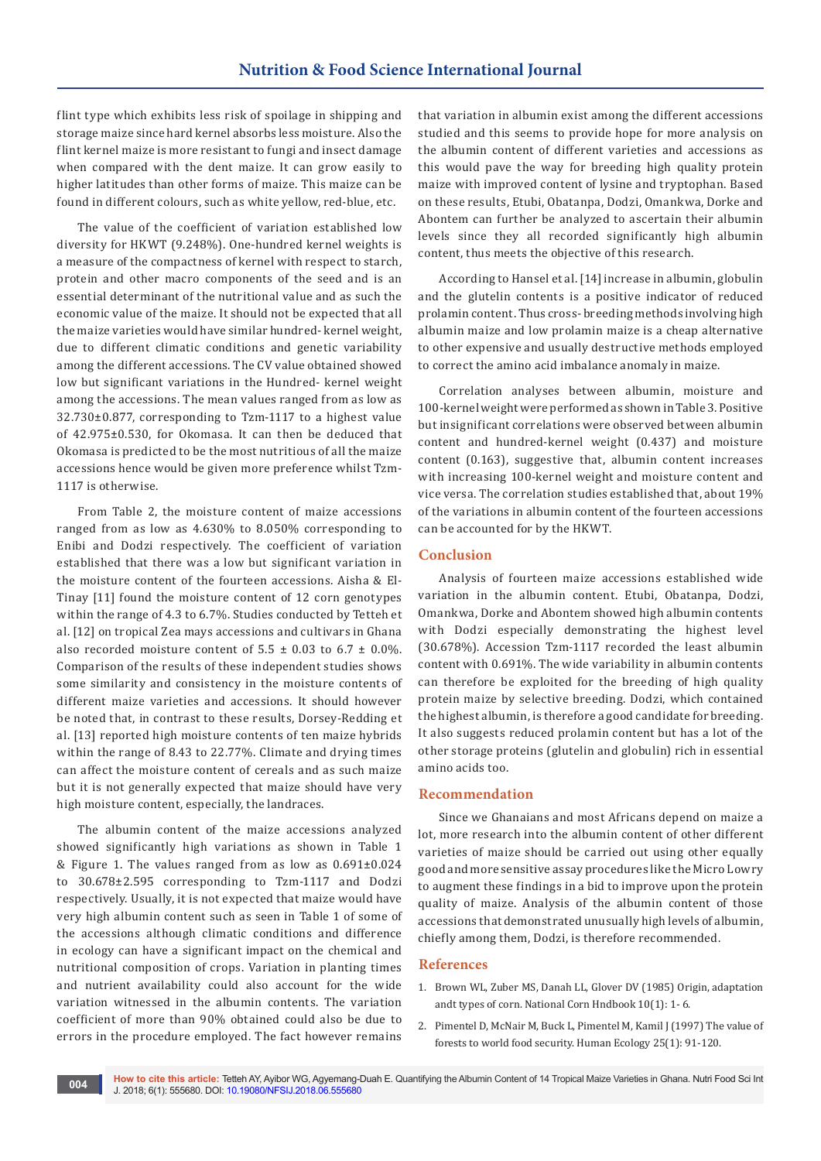flint type which exhibits less risk of spoilage in shipping and storage maize since hard kernel absorbs less moisture. Also the flint kernel maize is more resistant to fungi and insect damage when compared with the dent maize. It can grow easily to higher latitudes than other forms of maize. This maize can be found in different colours, such as white yellow, red-blue, etc.

The value of the coefficient of variation established low diversity for HKWT (9.248%). One-hundred kernel weights is a measure of the compactness of kernel with respect to starch, protein and other macro components of the seed and is an essential determinant of the nutritional value and as such the economic value of the maize. It should not be expected that all the maize varieties would have similar hundred- kernel weight, due to different climatic conditions and genetic variability among the different accessions. The CV value obtained showed low but significant variations in the Hundred- kernel weight among the accessions. The mean values ranged from as low as 32.730±0.877, corresponding to Tzm-1117 to a highest value of 42.975±0.530, for Okomasa. It can then be deduced that Okomasa is predicted to be the most nutritious of all the maize accessions hence would be given more preference whilst Tzm-1117 is otherwise.

From Table 2, the moisture content of maize accessions ranged from as low as 4.630% to 8.050% corresponding to Enibi and Dodzi respectively. The coefficient of variation established that there was a low but significant variation in the moisture content of the fourteen accessions. Aisha & El-Tinay [11] found the moisture content of 12 corn genotypes within the range of 4.3 to 6.7%. Studies conducted by Tetteh et al. [12] on tropical Zea mays accessions and cultivars in Ghana also recorded moisture content of  $5.5 \pm 0.03$  to  $6.7 \pm 0.0\%$ . Comparison of the results of these independent studies shows some similarity and consistency in the moisture contents of different maize varieties and accessions. It should however be noted that, in contrast to these results, Dorsey-Redding et al. [13] reported high moisture contents of ten maize hybrids within the range of 8.43 to 22.77%. Climate and drying times can affect the moisture content of cereals and as such maize but it is not generally expected that maize should have very high moisture content, especially, the landraces.

The albumin content of the maize accessions analyzed showed significantly high variations as shown in Table 1 & Figure 1. The values ranged from as low as 0.691±0.024 to 30.678±2.595 corresponding to Tzm-1117 and Dodzi respectively. Usually, it is not expected that maize would have very high albumin content such as seen in Table 1 of some of the accessions although climatic conditions and difference in ecology can have a significant impact on the chemical and nutritional composition of crops. Variation in planting times and nutrient availability could also account for the wide variation witnessed in the albumin contents. The variation coefficient of more than 90% obtained could also be due to errors in the procedure employed. The fact however remains

that variation in albumin exist among the different accessions studied and this seems to provide hope for more analysis on the albumin content of different varieties and accessions as this would pave the way for breeding high quality protein maize with improved content of lysine and tryptophan. Based on these results, Etubi, Obatanpa, Dodzi, Omankwa, Dorke and Abontem can further be analyzed to ascertain their albumin levels since they all recorded significantly high albumin content, thus meets the objective of this research.

According to Hansel et al. [14] increase in albumin, globulin and the glutelin contents is a positive indicator of reduced prolamin content. Thus cross- breeding methods involving high albumin maize and low prolamin maize is a cheap alternative to other expensive and usually destructive methods employed to correct the amino acid imbalance anomaly in maize.

Correlation analyses between albumin, moisture and 100-kernel weight were performed as shown in Table 3. Positive but insignificant correlations were observed between albumin content and hundred-kernel weight (0.437) and moisture content (0.163), suggestive that, albumin content increases with increasing 100-kernel weight and moisture content and vice versa. The correlation studies established that, about 19% of the variations in albumin content of the fourteen accessions can be accounted for by the HKWT.

## **Conclusion**

Analysis of fourteen maize accessions established wide variation in the albumin content. Etubi, Obatanpa, Dodzi, Omankwa, Dorke and Abontem showed high albumin contents with Dodzi especially demonstrating the highest level (30.678%). Accession Tzm-1117 recorded the least albumin content with 0.691%. The wide variability in albumin contents can therefore be exploited for the breeding of high quality protein maize by selective breeding. Dodzi, which contained the highest albumin, is therefore a good candidate for breeding. It also suggests reduced prolamin content but has a lot of the other storage proteins (glutelin and globulin) rich in essential amino acids too.

## **Recommendation**

Since we Ghanaians and most Africans depend on maize a lot, more research into the albumin content of other different varieties of maize should be carried out using other equally good and more sensitive assay procedures like the Micro Lowry to augment these findings in a bid to improve upon the protein quality of maize. Analysis of the albumin content of those accessions that demonstrated unusually high levels of albumin, chiefly among them, Dodzi, is therefore recommended.

#### **References**

- 1. [Brown WL, Zuber MS, Danah LL, Glover DV \(1985\) Origin, adaptation](https://www.scribd.com/document/326285237/Types-of-Corn)  [andt types of corn. National Corn Hndbook 10\(1\): 1- 6.](https://www.scribd.com/document/326285237/Types-of-Corn)
- 2. Pimentel D, McNair M, Buck L, Pimentel M, Kamil J (1997) The value of forests to world food security. Human Ecology 25(1): 91-120.